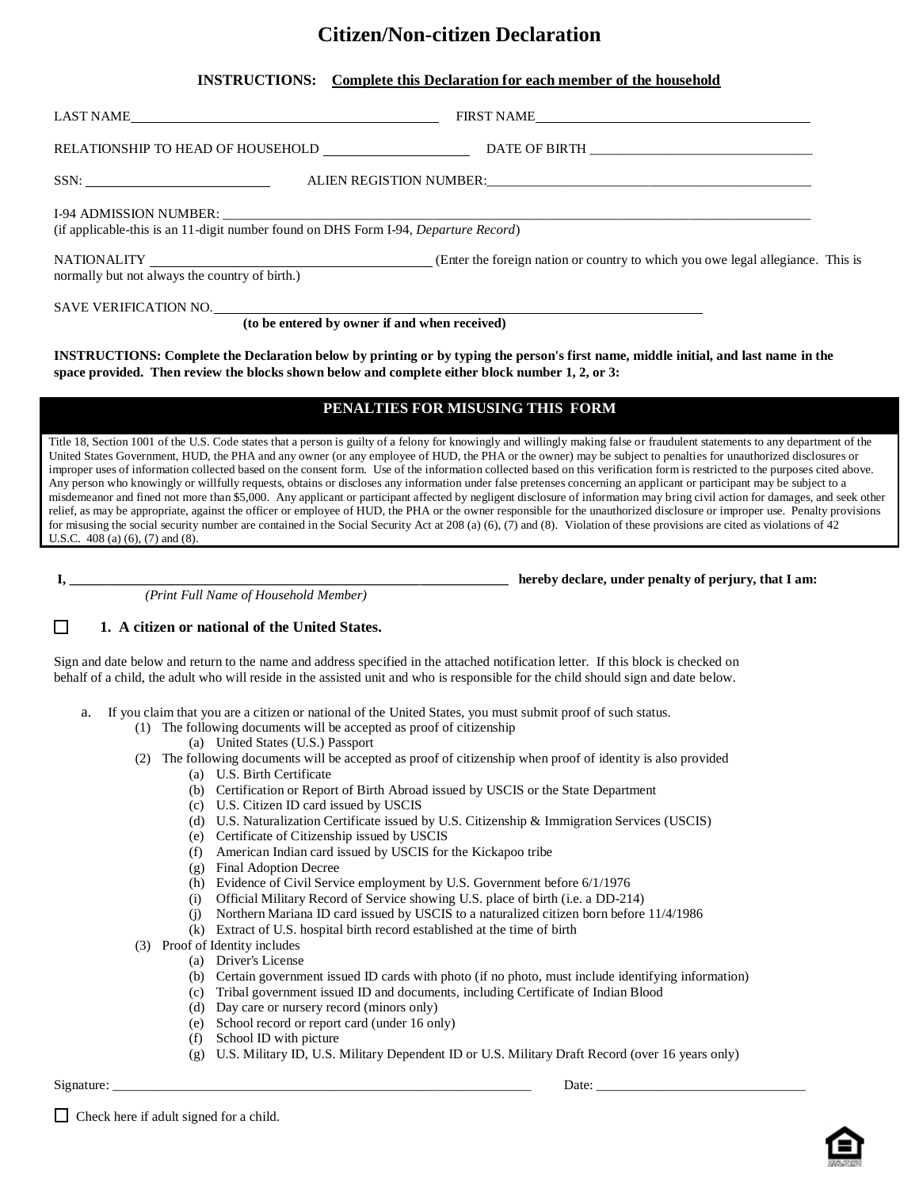## **Citizen/Non-citizen Declaration**

| <b>INSTRUCTIONS:</b><br>Complete this Declaration for each member of the household |
|------------------------------------------------------------------------------------|
|------------------------------------------------------------------------------------|

| LAST NAME                                                                                                                                                                                                                              | FIRST NAME |  |  |
|----------------------------------------------------------------------------------------------------------------------------------------------------------------------------------------------------------------------------------------|------------|--|--|
|                                                                                                                                                                                                                                        |            |  |  |
|                                                                                                                                                                                                                                        |            |  |  |
| (if applicable-this is an 11-digit number found on DHS Form I-94, Departure Record)                                                                                                                                                    |            |  |  |
| normally but not always the country of birth.)                                                                                                                                                                                         |            |  |  |
| (to be entered by owner if and when received)                                                                                                                                                                                          |            |  |  |
| INSTRUCTIONS: Complete the Declaration below by printing or by typing the person's first name, middle initial, and last name in the<br>space provided. Then review the blocks shown below and complete either block number 1, 2, or 3: |            |  |  |
| PENALTIES FOR MISUSING THIS FORM                                                                                                                                                                                                       |            |  |  |

Title 18, Section 1001 of the U.S. Code states that a person is guilty of a felony for knowingly and willingly making false or fraudulent statements to any department of the United States Government, HUD, the PHA and any owner (or any employee of HUD, the PHA or the owner) may be subject to penalties for unauthorized disclosures or improper uses of information collected based on the consent form. Use of the information collected based on this verification form is restricted to the purposes cited above. Any person who knowingly or willfully requests, obtains or discloses any information under false pretenses concerning an applicant or participant may be subject to a misdemeanor and fined not more than \$5,000. Any applicant or participant affected by negligent disclosure of information may bring civil action for damages, and seek other relief, as may be appropriate, against the officer or employee of HUD, the PHA or the owner responsible for the unauthorized disclosure or improper use. Penalty provisions for misusing the social security number are contained in the Social Security Act at 208 (a) (6), (7) and (8). Violation of these provisions are cited as violations of 42 U.S.C. 408 (a) (6), (7) and (8).

*(Print Full Name of Household Member)*

**I,** thereby declare, under penalty of perjury, that I am:

#### $\Box$ **1. A citizen or national of the United States.**

Sign and date below and return to the name and address specified in the attached notification letter. If this block is checked on behalf of a child, the adult who will reside in the assisted unit and who is responsible for the child should sign and date below.

- a. If you claim that you are a citizen or national of the United States, you must submit proof of such status.
	- (1) The following documents will be accepted as proof of citizenship
		- (a) United States (U.S.) Passport
	- (2) The following documents will be accepted as proof of citizenship when proof of identity is also provided
		- (a) U.S. Birth Certificate
		- (b) Certification or Report of Birth Abroad issued by USCIS or the State Department
		- (c) U.S. Citizen ID card issued by USCIS
		- (d) U.S. Naturalization Certificate issued by U.S. Citizenship & Immigration Services (USCIS)
		- (e) Certificate of Citizenship issued by USCIS
		- (f) American Indian card issued by USCIS for the Kickapoo tribe
		- (g) Final Adoption Decree
		- (h) Evidence of Civil Service employment by U.S. Government before 6/1/1976
		- (i) Official Military Record of Service showing U.S. place of birth (i.e. a DD-214)
		- (j) Northern Mariana ID card issued by USCIS to a naturalized citizen born before 11/4/1986
		- (k) Extract of U.S. hospital birth record established at the time of birth
	- (3) Proof of Identity includes
		- (a) Driver's License
			- (b) Certain government issued ID cards with photo (if no photo, must include identifying information)
			- (c) Tribal government issued ID and documents, including Certificate of Indian Blood
			- (d) Day care or nursery record (minors only)
			- (e) School record or report card (under 16 only)
			- (f) School ID with picture
			- (g) U.S. Military ID, U.S. Military Dependent ID or U.S. Military Draft Record (over 16 years only)

Signature: \_\_\_\_\_\_\_\_\_\_\_\_\_\_\_\_\_\_\_\_\_\_\_\_\_\_\_\_\_\_\_\_\_\_\_\_\_\_\_\_\_\_\_\_\_\_\_\_\_\_\_\_\_\_\_\_\_\_\_\_\_\_ Date: \_\_\_\_\_\_\_\_\_\_\_\_\_\_\_\_\_\_\_\_\_\_\_\_\_\_\_\_\_\_\_

 $\Box$  Check here if adult signed for a child.